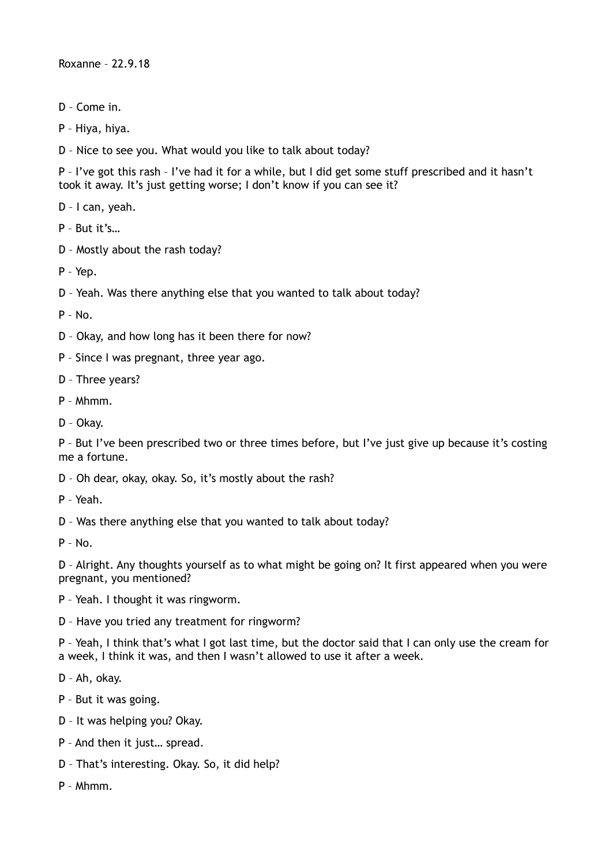Roxanne – 22.9.18

- D Come in.
- P Hiya, hiya.
- D Nice to see you. What would you like to talk about today?

P – I've got this rash – I've had it for a while, but I did get some stuff prescribed and it hasn't took it away. It's just getting worse; I don't know if you can see it?

D – I can, yeah.

P – But it's…

D – Mostly about the rash today?

P – Yep.

D – Yeah. Was there anything else that you wanted to talk about today?

P – No.

- D Okay, and how long has it been there for now?
- P Since I was pregnant, three year ago.
- D Three years?
- P Mhmm.
- D Okay.

P – But I've been prescribed two or three times before, but I've just give up because it's costing me a fortune.

D – Oh dear, okay, okay. So, it's mostly about the rash?

P – Yeah.

D – Was there anything else that you wanted to talk about today?

P – No.

D – Alright. Any thoughts yourself as to what might be going on? It first appeared when you were pregnant, you mentioned?

P – Yeah. I thought it was ringworm.

D – Have you tried any treatment for ringworm?

P – Yeah, I think that's what I got last time, but the doctor said that I can only use the cream for a week, I think it was, and then I wasn't allowed to use it after a week.

D – Ah, okay.

- P But it was going.
- D It was helping you? Okay.
- P And then it just… spread.
- D That's interesting. Okay. So, it did help?
- P Mhmm.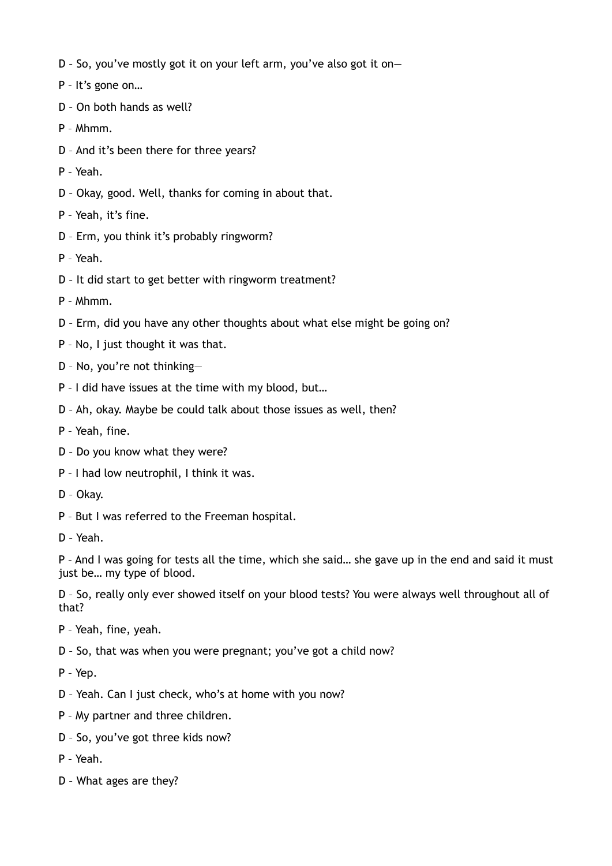- D So, you've mostly got it on your left arm, you've also got it on—
- P It's gone on…
- D On both hands as well?
- P Mhmm.
- D And it's been there for three years?
- P Yeah.
- D Okay, good. Well, thanks for coming in about that.
- P Yeah, it's fine.
- D Erm, you think it's probably ringworm?
- P Yeah.
- D It did start to get better with ringworm treatment?
- P Mhmm.
- D Erm, did you have any other thoughts about what else might be going on?
- P No, I just thought it was that.
- D No, you're not thinking—
- P I did have issues at the time with my blood, but…
- D Ah, okay. Maybe be could talk about those issues as well, then?
- P Yeah, fine.
- D Do you know what they were?
- P I had low neutrophil, I think it was.
- D Okay.
- P But I was referred to the Freeman hospital.
- D Yeah.

P – And I was going for tests all the time, which she said… she gave up in the end and said it must just be… my type of blood.

D – So, really only ever showed itself on your blood tests? You were always well throughout all of that?

- P Yeah, fine, yeah.
- D So, that was when you were pregnant; you've got a child now?
- P Yep.
- D Yeah. Can I just check, who's at home with you now?
- P My partner and three children.
- D So, you've got three kids now?
- P Yeah.
- D What ages are they?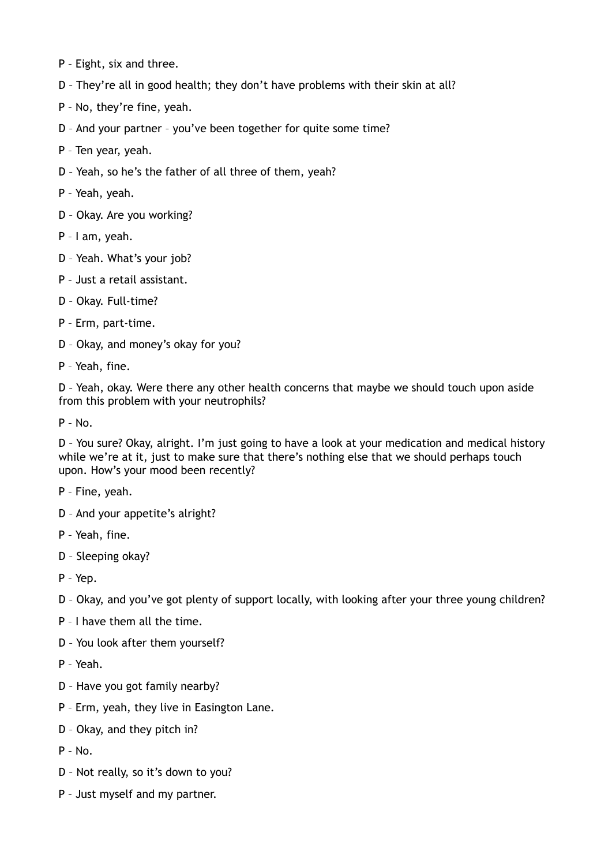- P Eight, six and three.
- D They're all in good health; they don't have problems with their skin at all?
- P No, they're fine, yeah.
- D And your partner you've been together for quite some time?
- P Ten year, yeah.
- D Yeah, so he's the father of all three of them, yeah?
- P Yeah, yeah.
- D Okay. Are you working?
- P I am, yeah.
- D Yeah. What's your job?
- P Just a retail assistant.
- D Okay. Full-time?
- P Erm, part-time.
- D Okay, and money's okay for you?
- P Yeah, fine.

D – Yeah, okay. Were there any other health concerns that maybe we should touch upon aside from this problem with your neutrophils?

P – No.

D – You sure? Okay, alright. I'm just going to have a look at your medication and medical history while we're at it, just to make sure that there's nothing else that we should perhaps touch upon. How's your mood been recently?

- P Fine, yeah.
- D And your appetite's alright?
- P Yeah, fine.
- D Sleeping okay?
- P Yep.
- D Okay, and you've got plenty of support locally, with looking after your three young children?
- P I have them all the time.
- D You look after them yourself?
- P Yeah.
- D Have you got family nearby?
- P Erm, yeah, they live in Easington Lane.
- D Okay, and they pitch in?
- $P No$ .
- D Not really, so it's down to you?
- P Just myself and my partner.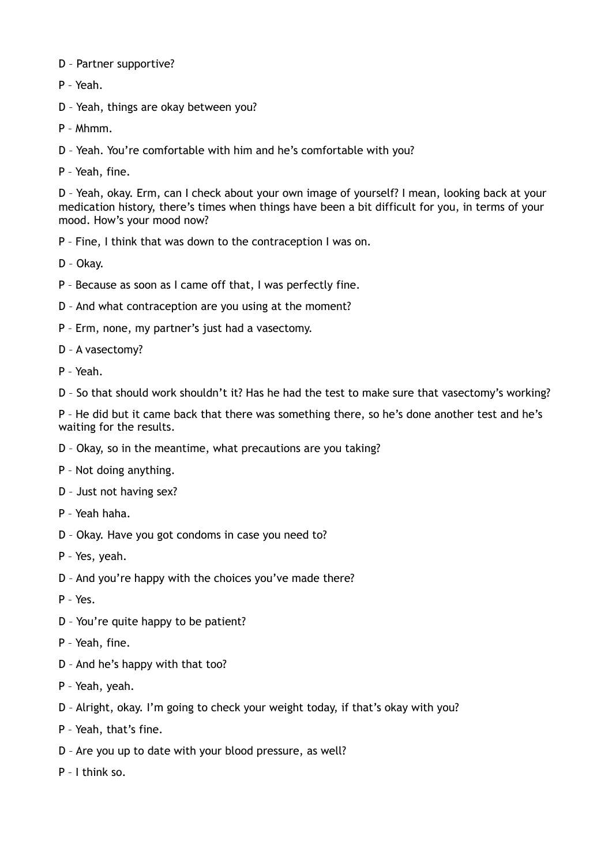- D Partner supportive?
- P Yeah.
- D Yeah, things are okay between you?
- P Mhmm.
- D Yeah. You're comfortable with him and he's comfortable with you?
- P Yeah, fine.

D – Yeah, okay. Erm, can I check about your own image of yourself? I mean, looking back at your medication history, there's times when things have been a bit difficult for you, in terms of your mood. How's your mood now?

- P Fine, I think that was down to the contraception I was on.
- D Okay.
- P Because as soon as I came off that, I was perfectly fine.
- D And what contraception are you using at the moment?
- P Erm, none, my partner's just had a vasectomy.
- D A vasectomy?
- P Yeah.
- D So that should work shouldn't it? Has he had the test to make sure that vasectomy's working?

P – He did but it came back that there was something there, so he's done another test and he's waiting for the results.

- D Okay, so in the meantime, what precautions are you taking?
- P Not doing anything.
- D Just not having sex?
- P Yeah haha.
- D Okay. Have you got condoms in case you need to?
- P Yes, yeah.
- D And you're happy with the choices you've made there?
- P Yes.
- D You're quite happy to be patient?
- P Yeah, fine.
- D And he's happy with that too?
- P Yeah, yeah.
- D Alright, okay. I'm going to check your weight today, if that's okay with you?
- P Yeah, that's fine.
- D Are you up to date with your blood pressure, as well?
- P I think so.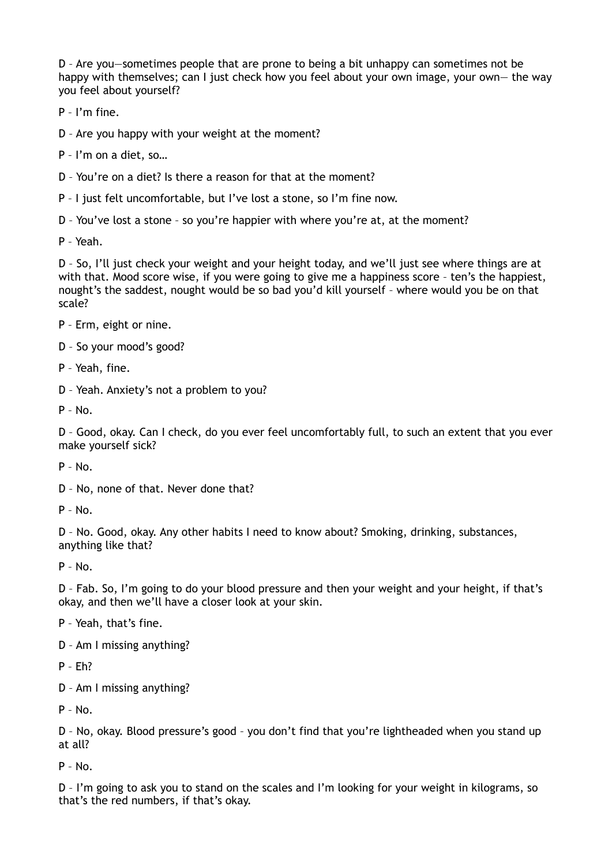D – Are you—sometimes people that are prone to being a bit unhappy can sometimes not be happy with themselves; can I just check how you feel about your own image, your own— the way you feel about yourself?

P – I'm fine.

D – Are you happy with your weight at the moment?

P – I'm on a diet, so…

D – You're on a diet? Is there a reason for that at the moment?

P – I just felt uncomfortable, but I've lost a stone, so I'm fine now.

D – You've lost a stone – so you're happier with where you're at, at the moment?

P – Yeah.

D – So, I'll just check your weight and your height today, and we'll just see where things are at with that. Mood score wise, if you were going to give me a happiness score - ten's the happiest, nought's the saddest, nought would be so bad you'd kill yourself – where would you be on that scale?

P – Erm, eight or nine.

D – So your mood's good?

P – Yeah, fine.

D – Yeah. Anxiety's not a problem to you?

 $P - N<sub>0</sub>$ 

D – Good, okay. Can I check, do you ever feel uncomfortably full, to such an extent that you ever make yourself sick?

P – No.

D – No, none of that. Never done that?

P – No.

D – No. Good, okay. Any other habits I need to know about? Smoking, drinking, substances, anything like that?

P – No.

D – Fab. So, I'm going to do your blood pressure and then your weight and your height, if that's okay, and then we'll have a closer look at your skin.

P – Yeah, that's fine.

D – Am I missing anything?

P – Eh?

D – Am I missing anything?

 $P - No.$ 

D – No, okay. Blood pressure's good – you don't find that you're lightheaded when you stand up at all?

 $P - No$ .

D – I'm going to ask you to stand on the scales and I'm looking for your weight in kilograms, so that's the red numbers, if that's okay.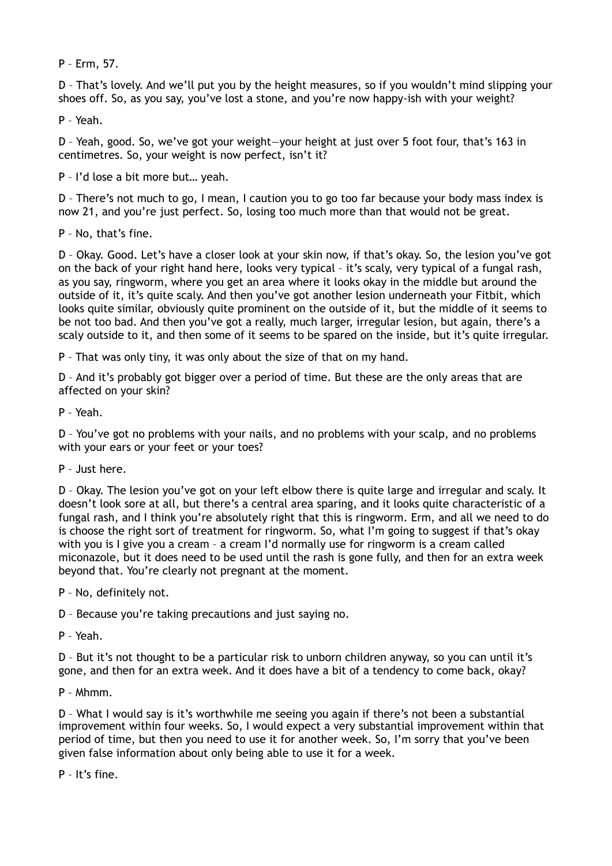P – Erm, 57.

D – That's lovely. And we'll put you by the height measures, so if you wouldn't mind slipping your shoes off. So, as you say, you've lost a stone, and you're now happy-ish with your weight?

P – Yeah.

D – Yeah, good. So, we've got your weight—your height at just over 5 foot four, that's 163 in centimetres. So, your weight is now perfect, isn't it?

P – I'd lose a bit more but… yeah.

D – There's not much to go, I mean, I caution you to go too far because your body mass index is now 21, and you're just perfect. So, losing too much more than that would not be great.

P – No, that's fine.

D – Okay. Good. Let's have a closer look at your skin now, if that's okay. So, the lesion you've got on the back of your right hand here, looks very typical – it's scaly, very typical of a fungal rash, as you say, ringworm, where you get an area where it looks okay in the middle but around the outside of it, it's quite scaly. And then you've got another lesion underneath your Fitbit, which looks quite similar, obviously quite prominent on the outside of it, but the middle of it seems to be not too bad. And then you've got a really, much larger, irregular lesion, but again, there's a scaly outside to it, and then some of it seems to be spared on the inside, but it's quite irregular.

P – That was only tiny, it was only about the size of that on my hand.

D – And it's probably got bigger over a period of time. But these are the only areas that are affected on your skin?

P – Yeah.

D – You've got no problems with your nails, and no problems with your scalp, and no problems with your ears or your feet or your toes?

P – Just here.

D – Okay. The lesion you've got on your left elbow there is quite large and irregular and scaly. It doesn't look sore at all, but there's a central area sparing, and it looks quite characteristic of a fungal rash, and I think you're absolutely right that this is ringworm. Erm, and all we need to do is choose the right sort of treatment for ringworm. So, what I'm going to suggest if that's okay with you is I give you a cream – a cream I'd normally use for ringworm is a cream called miconazole, but it does need to be used until the rash is gone fully, and then for an extra week beyond that. You're clearly not pregnant at the moment.

P – No, definitely not.

D – Because you're taking precautions and just saying no.

P – Yeah.

D – But it's not thought to be a particular risk to unborn children anyway, so you can until it's gone, and then for an extra week. And it does have a bit of a tendency to come back, okay?

P – Mhmm.

D – What I would say is it's worthwhile me seeing you again if there's not been a substantial improvement within four weeks. So, I would expect a very substantial improvement within that period of time, but then you need to use it for another week. So, I'm sorry that you've been given false information about only being able to use it for a week.

P – It's fine.